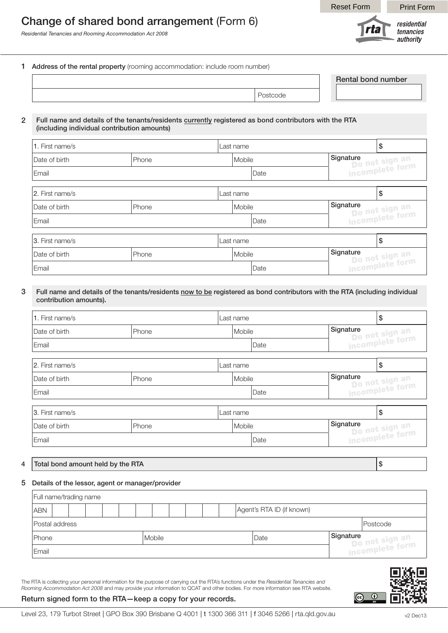# Change of shared bond arrangement (Form 6)

*Residential Tenancies and Rooming Accommodation Act 2008*

Reset Form | Print Form



1 Address of the rental property (rooming accommodation: include room number)

| <b>Rental bond number</b> |
|---------------------------|
|                           |
|                           |

#### 2 Full name and details of the tenants/residents currently registered as bond contributors with the RTA (including individual contribution amounts)

| 1. First name/s |        | Last name |        |                                                                     |           |                                   | \$ |  |
|-----------------|--------|-----------|--------|---------------------------------------------------------------------|-----------|-----------------------------------|----|--|
| Date of birth   | Mobile |           |        | Signature<br><sup>ynaure</sup><br>Do not sign an<br>incomplete form |           |                                   |    |  |
| Email           |        |           | Date   |                                                                     |           |                                   |    |  |
| 2. First name/s |        | Last name |        |                                                                     | \$        |                                   |    |  |
| Date of birth   | Phone  | Mobile    |        |                                                                     | Signature |                                   |    |  |
| Email           |        | Date      |        |                                                                     |           | Do not sign an<br>incomplete form |    |  |
| 3. First name/s |        | Last name |        |                                                                     |           | \$                                |    |  |
| Date of birth   | Phone  |           | Mobile |                                                                     |           | Signature                         |    |  |
| Email           |        |           | Date   |                                                                     |           | Do not sign an<br>incomplete form |    |  |

#### 3 Full name and details of the tenants/residents now to be registered as bond contributors with the RTA (including individual contribution amounts).

| 1. First name/s |       | Last name | \$     |           |                                   |    |  |
|-----------------|-------|-----------|--------|-----------|-----------------------------------|----|--|
| Date of birth   | Phone | Mobile    |        | Signature |                                   |    |  |
| Email           |       | Date      |        |           | Do not sign an<br>incomplete form |    |  |
| 2. First name/s |       | Last name |        |           | \$                                |    |  |
| Date of birth   | Phone | Mobile    |        | Signature |                                   |    |  |
| Email           |       | Date      |        |           | Do not sign an<br>incomplete form |    |  |
| 3. First name/s |       | Last name |        |           |                                   | \$ |  |
| Date of birth   | Phone |           | Mobile |           | Signature                         |    |  |
| Email           |       |           | Date   |           | Do not sign an<br>incomplete form |    |  |

### 4  $\vert$  Total bond amount held by the RTA  $\vert$  \$

#### 5 Details of the lessor, agent or manager/provider

| Full name/trading name |  |  |  |  |  |  |               |  |  |  |  |                           |  |                                                |
|------------------------|--|--|--|--|--|--|---------------|--|--|--|--|---------------------------|--|------------------------------------------------|
| <b>ABN</b>             |  |  |  |  |  |  |               |  |  |  |  | Agent's RTA ID (if known) |  |                                                |
| Postal address         |  |  |  |  |  |  |               |  |  |  |  |                           |  | Postcode                                       |
| Phone                  |  |  |  |  |  |  | <b>Mobile</b> |  |  |  |  | Date                      |  | Signature<br>Do not sign an<br>incomplete form |
| Email                  |  |  |  |  |  |  |               |  |  |  |  |                           |  |                                                |

The RTA is collecting your personal information for the purpose of carrying out the RTA's functions under the *Residential Tenancies and Rooming Accommodation Act 2008* and may provide your information to QCAT and other bodies. For more information see RTA website.

#### Return signed form to the RTA—keep a copy for your records.

 $\circ$   $\circ$